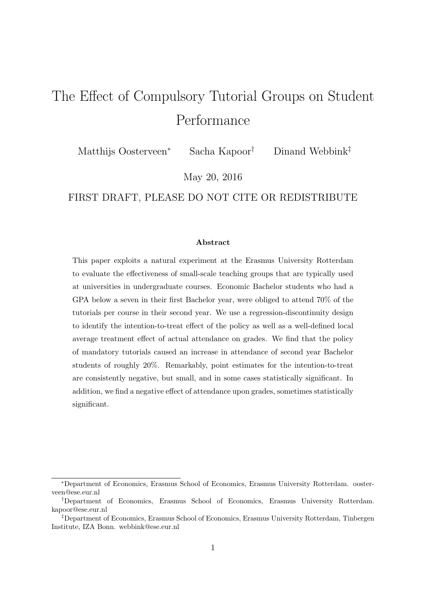# The Effect of Compulsory Tutorial Groups on Student Performance

Matthijs Oosterveen<sup>∗</sup> Sacha Kapoor<sup>†</sup> Dinand Webbink<sup>‡</sup>

May 20, 2016

FIRST DRAFT, PLEASE DO NOT CITE OR REDISTRIBUTE

#### Abstract

This paper exploits a natural experiment at the Erasmus University Rotterdam to evaluate the effectiveness of small-scale teaching groups that are typically used at universities in undergraduate courses. Economic Bachelor students who had a GPA below a seven in their first Bachelor year, were obliged to attend 70% of the tutorials per course in their second year. We use a regression-discontinuity design to identify the intention-to-treat effect of the policy as well as a well-defined local average treatment effect of actual attendance on grades. We find that the policy of mandatory tutorials caused an increase in attendance of second year Bachelor students of roughly 20%. Remarkably, point estimates for the intention-to-treat are consistently negative, but small, and in some cases statistically significant. In addition, we find a negative effect of attendance upon grades, sometimes statistically significant.

<sup>∗</sup>Department of Economics, Erasmus School of Economics, Erasmus University Rotterdam. oosterveen@ese.eur.nl

<sup>†</sup>Department of Economics, Erasmus School of Economics, Erasmus University Rotterdam. kapoor@ese.eur.nl

<sup>‡</sup>Department of Economics, Erasmus School of Economics, Erasmus University Rotterdam, Tinbergen Institute, IZA Bonn. webbink@ese.eur.nl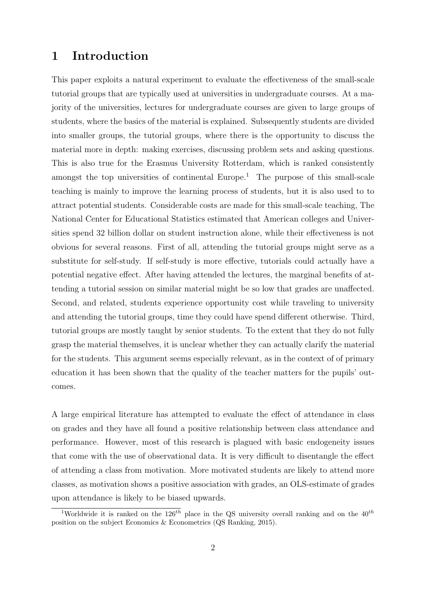#### 1 Introduction

This paper exploits a natural experiment to evaluate the effectiveness of the small-scale tutorial groups that are typically used at universities in undergraduate courses. At a majority of the universities, lectures for undergraduate courses are given to large groups of students, where the basics of the material is explained. Subsequently students are divided into smaller groups, the tutorial groups, where there is the opportunity to discuss the material more in depth: making exercises, discussing problem sets and asking questions. This is also true for the Erasmus University Rotterdam, which is ranked consistently amongst the top universities of continental Europe.<sup>[1](#page-1-0)</sup> The purpose of this small-scale teaching is mainly to improve the learning process of students, but it is also used to to attract potential students. Considerable costs are made for this small-scale teaching, The National Center for Educational Statistics estimated that American colleges and Universities spend 32 billion dollar on student instruction alone, while their effectiveness is not obvious for several reasons. First of all, attending the tutorial groups might serve as a substitute for self-study. If self-study is more effective, tutorials could actually have a potential negative effect. After having attended the lectures, the marginal benefits of attending a tutorial session on similar material might be so low that grades are unaffected. Second, and related, students experience opportunity cost while traveling to university and attending the tutorial groups, time they could have spend different otherwise. Third, tutorial groups are mostly taught by senior students. To the extent that they do not fully grasp the material themselves, it is unclear whether they can actually clarify the material for the students. This argument seems especially relevant, as in the context of of primary education it has been shown that the quality of the teacher matters for the pupils' outcomes.

A large empirical literature has attempted to evaluate the effect of attendance in class on grades and they have all found a positive relationship between class attendance and performance. However, most of this research is plagued with basic endogeneity issues that come with the use of observational data. It is very difficult to disentangle the effect of attending a class from motivation. More motivated students are likely to attend more classes, as motivation shows a positive association with grades, an OLS-estimate of grades upon attendance is likely to be biased upwards.

<span id="page-1-0"></span><sup>&</sup>lt;sup>1</sup>Worldwide it is ranked on the  $126^{th}$  place in the QS university overall ranking and on the  $40^{th}$ position on the subject Economics & Econometrics (QS Ranking, 2015).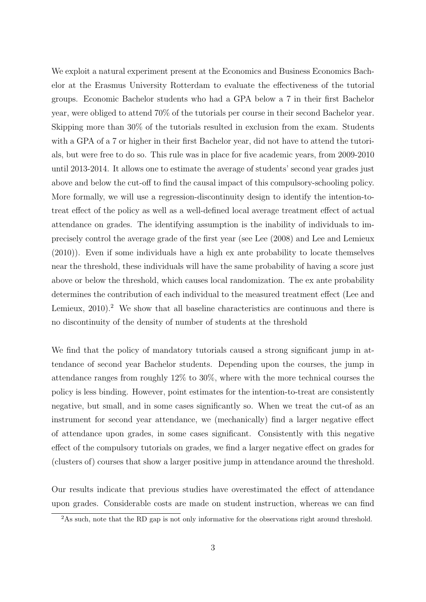We exploit a natural experiment present at the Economics and Business Economics Bachelor at the Erasmus University Rotterdam to evaluate the effectiveness of the tutorial groups. Economic Bachelor students who had a GPA below a 7 in their first Bachelor year, were obliged to attend 70% of the tutorials per course in their second Bachelor year. Skipping more than 30% of the tutorials resulted in exclusion from the exam. Students with a GPA of a 7 or higher in their first Bachelor year, did not have to attend the tutorials, but were free to do so. This rule was in place for five academic years, from 2009-2010 until 2013-2014. It allows one to estimate the average of students' second year grades just above and below the cut-off to find the causal impact of this compulsory-schooling policy. More formally, we will use a regression-discontinuity design to identify the intention-totreat effect of the policy as well as a well-defined local average treatment effect of actual attendance on grades. The identifying assumption is the inability of individuals to imprecisely control the average grade of the first year (see Lee (2008) and Lee and Lemieux (2010)). Even if some individuals have a high ex ante probability to locate themselves near the threshold, these individuals will have the same probability of having a score just above or below the threshold, which causes local randomization. The ex ante probability determines the contribution of each individual to the measured treatment effect (Lee and Lemieux,  $2010$  $2010$ .<sup>2</sup> We show that all baseline characteristics are continuous and there is no discontinuity of the density of number of students at the threshold

We find that the policy of mandatory tutorials caused a strong significant jump in attendance of second year Bachelor students. Depending upon the courses, the jump in attendance ranges from roughly 12% to 30%, where with the more technical courses the policy is less binding. However, point estimates for the intention-to-treat are consistently negative, but small, and in some cases significantly so. When we treat the cut-of as an instrument for second year attendance, we (mechanically) find a larger negative effect of attendance upon grades, in some cases significant. Consistently with this negative effect of the compulsory tutorials on grades, we find a larger negative effect on grades for (clusters of) courses that show a larger positive jump in attendance around the threshold.

Our results indicate that previous studies have overestimated the effect of attendance upon grades. Considerable costs are made on student instruction, whereas we can find

<span id="page-2-0"></span><sup>&</sup>lt;sup>2</sup>As such, note that the RD gap is not only informative for the observations right around threshold.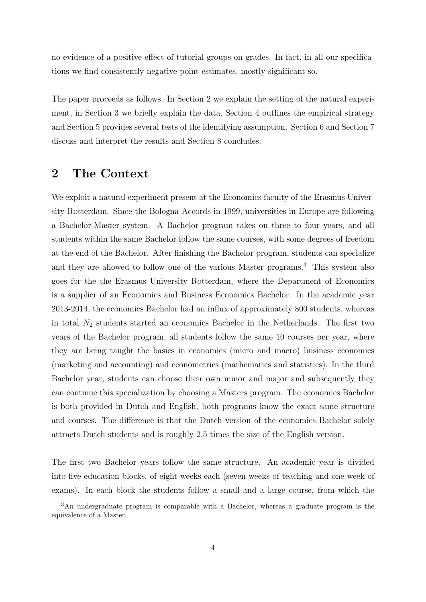no evidence of a positive effect of tutorial groups on grades. In fact, in all our specifications we find consistently negative point estimates, mostly significant so.

The paper proceeds as follows. In Section [2](#page-3-0) we explain the setting of the natural experiment, in Section [3](#page-7-0) we briefly explain the data, Section [4](#page-9-0) outlines the empirical strategy and Section [5](#page-13-0) provides several tests of the identifying assumption. Section [6](#page-13-1) and Section [7](#page-17-0) discuss and interpret the results and Section [8](#page-20-0) concludes.

#### <span id="page-3-0"></span>2 The Context

We exploit a natural experiment present at the Economics faculty of the Erasmus University Rotterdam. Since the Bologna Accords in 1999, universities in Europe are following a Bachelor-Master system. A Bachelor program takes on three to four years, and all students within the same Bachelor follow the same courses, with some degrees of freedom at the end of the Bachelor. After finishing the Bachelor program, students can specialize and they are allowed to follow one of the various Master programs.<sup>[3](#page-3-1)</sup> This system also goes for the the Erasmus University Rotterdam, where the Department of Economics is a supplier of an Economics and Business Economics Bachelor. In the academic year 2013-2014, the economics Bachelor had an influx of approximately 800 students, whereas in total  $N_2$  students started an economics Bachelor in the Netherlands. The first two years of the Bachelor program, all students follow the same 10 courses per year, where they are being taught the basics in economics (micro and macro) business economics (marketing and accounting) and econometrics (mathematics and statistics). In the third Bachelor year, students can choose their own minor and major and subsequently they can continue this specialization by choosing a Masters program. The economics Bachelor is both provided in Dutch and English, both programs know the exact same structure and courses. The difference is that the Dutch version of the economics Bachelor solely attracts Dutch students and is roughly 2.5 times the size of the English version.

The first two Bachelor years follow the same structure. An academic year is divided into five education blocks, of eight weeks each (seven weeks of teaching and one week of exams). In each block the students follow a small and a large course, from which the

<span id="page-3-1"></span><sup>3</sup>An undergraduate program is comparable with a Bachelor, whereas a graduate program is the equivalence of a Master.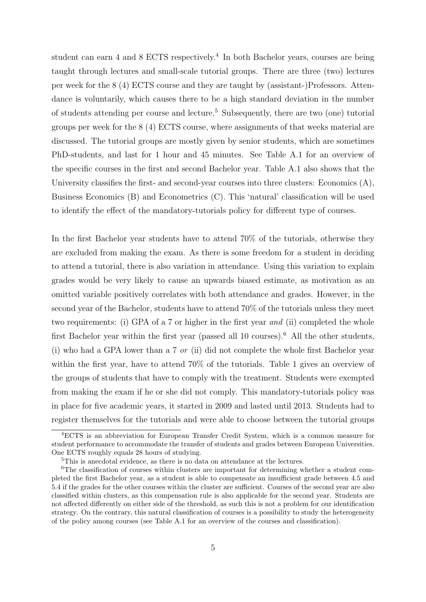student can earn [4](#page-4-0) and 8 ECTS respectively.<sup>4</sup> In both Bachelor years, courses are being taught through lectures and small-scale tutorial groups. There are three (two) lectures per week for the 8 (4) ECTS course and they are taught by (assistant-)Professors. Attendance is voluntarily, which causes there to be a high standard deviation in the number of students attending per course and lecture.[5](#page-4-1) Subsequently, there are two (one) tutorial groups per week for the 8 (4) ECTS course, where assignments of that weeks material are discussed. The tutorial groups are mostly given by senior students, which are sometimes PhD-students, and last for 1 hour and 45 minutes. See Table [A.1](#page-21-0) for an overview of the specific courses in the first and second Bachelor year. Table [A.1](#page-21-0) also shows that the University classifies the first- and second-year courses into three clusters: Economics (A), Business Economics (B) and Econometrics (C). This 'natural' classification will be used to identify the effect of the mandatory-tutorials policy for different type of courses.

In the first Bachelor year students have to attend 70% of the tutorials, otherwise they are excluded from making the exam. As there is some freedom for a student in deciding to attend a tutorial, there is also variation in attendance. Using this variation to explain grades would be very likely to cause an upwards biased estimate, as motivation as an omitted variable positively correlates with both attendance and grades. However, in the second year of the Bachelor, students have to attend 70% of the tutorials unless they meet two requirements: (i) GPA of a 7 or higher in the first year and (ii) completed the whole first Bachelor year within the first year (passed all 10 courses).<sup>[6](#page-4-2)</sup> All the other students, (i) who had a GPA lower than a 7 or (ii) did not complete the whole first Bachelor year within the first year, have to attend 70% of the tutorials. Table [1](#page-5-0) gives an overview of the groups of students that have to comply with the treatment. Students were exempted from making the exam if he or she did not comply. This mandatory-tutorials policy was in place for five academic years, it started in 2009 and lasted until 2013. Students had to register themselves for the tutorials and were able to choose between the tutorial groups

<span id="page-4-0"></span><sup>4</sup>ECTS is an abbreviation for European Transfer Credit System, which is a common measure for student performance to accommodate the transfer of students and grades between European Universities. One ECTS roughly equals 28 hours of studying.

<span id="page-4-2"></span><span id="page-4-1"></span><sup>&</sup>lt;sup>5</sup>This is anecdotal evidence, as there is no data on attendance at the lectures.

<sup>6</sup>The classification of courses within clusters are important for determining whether a student completed the first Bachelor year, as a student is able to compensate an insufficient grade between 4.5 and 5.4 if the grades for the other courses within the cluster are sufficient. Courses of the second year are also classified within clusters, as this compensation rule is also applicable for the second year. Students are not affected differently on either side of the threshold, as such this is not a problem for our identification strategy. On the contrary, this natural classification of courses is a possibility to study the heterogeneity of the policy among courses (see Table [A.1](#page-21-0) for an overview of the courses and classification).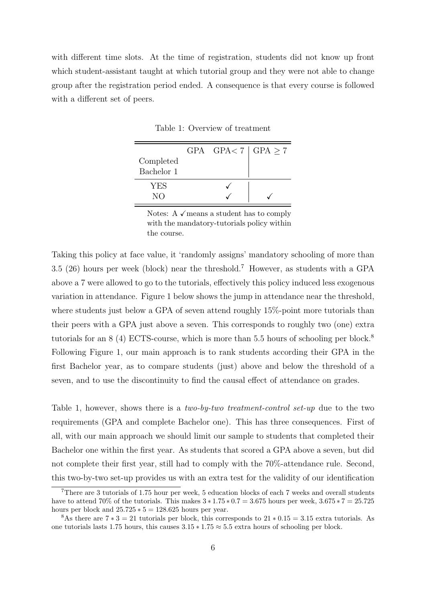<span id="page-5-0"></span>with different time slots. At the time of registration, students did not know up front which student-assistant taught at which tutorial group and they were not able to change group after the registration period ended. A consequence is that every course is followed with a different set of peers.

|            | GPA $GPA < 7   GPA \ge 7$ |  |
|------------|---------------------------|--|
| Completed  |                           |  |
| Bachelor 1 |                           |  |
| YES        |                           |  |
| NΟ         |                           |  |

Table 1: Overview of treatment

Notes: A  $\checkmark$  means a student has to comply with the mandatory-tutorials policy within the course.

Taking this policy at face value, it 'randomly assigns' mandatory schooling of more than 3.5 (26) hours per week (block) near the threshold.[7](#page-5-1) However, as students with a GPA above a 7 were allowed to go to the tutorials, effectively this policy induced less exogenous variation in attendance. Figure [1](#page-6-0) below shows the jump in attendance near the threshold, where students just below a GPA of seven attend roughly 15%-point more tutorials than their peers with a GPA just above a seven. This corresponds to roughly two (one) extra tutorials for an  $8(4)$  $8(4)$  ECTS-course, which is more than 5.5 hours of schooling per block.<sup>8</sup> Following Figure [1,](#page-6-0) our main approach is to rank students according their GPA in the first Bachelor year, as to compare students (just) above and below the threshold of a seven, and to use the discontinuity to find the causal effect of attendance on grades.

Table [1,](#page-5-0) however, shows there is a *two-by-two treatment-control set-up* due to the two requirements (GPA and complete Bachelor one). This has three consequences. First of all, with our main approach we should limit our sample to students that completed their Bachelor one within the first year. As students that scored a GPA above a seven, but did not complete their first year, still had to comply with the 70%-attendance rule. Second, this two-by-two set-up provides us with an extra test for the validity of our identification

<span id="page-5-1"></span><sup>7</sup>There are 3 tutorials of 1.75 hour per week, 5 education blocks of each 7 weeks and overall students have to attend 70% of the tutorials. This makes  $3 * 1.75 * 0.7 = 3.675$  hours per week,  $3.675 * 7 = 25.725$ hours per block and  $25.725 * 5 = 128.625$  hours per year.

<span id="page-5-2"></span><sup>&</sup>lt;sup>8</sup>As there are  $7 * 3 = 21$  tutorials per block, this corresponds to  $21 * 0.15 = 3.15$  extra tutorials. As one tutorials lasts 1.75 hours, this causes  $3.15 * 1.75 \approx 5.5$  extra hours of schooling per block.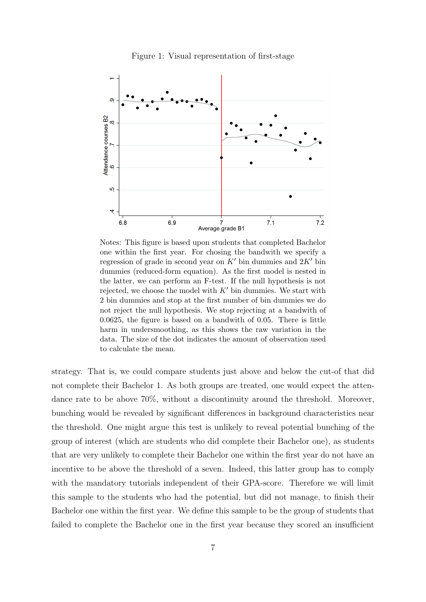<span id="page-6-0"></span>

Figure 1: Visual representation of first-stage

Notes: This figure is based upon students that completed Bachelor one within the first year. For chosing the bandwith we specify a regression of grade in second year on  $K'$  bin dummies and  $2K'$  bin dummies (reduced-form equation). As the first model is nested in the latter, we can perform an F-test. If the null hypothesis is not rejected, we choose the model with  $K'$  bin dummies. We start with 2 bin dummies and stop at the first number of bin dummies we do not reject the null hypothesis. We stop rejecting at a bandwith of 0.0625, the figure is based on a bandwith of 0.05. There is little harm in undersmoothing, as this shows the raw variation in the data. The size of the dot indicates the amount of observation used to calculate the mean.

strategy. That is, we could compare students just above and below the cut-of that did not complete their Bachelor 1. As both groups are treated, one would expect the attendance rate to be above 70%, without a discontinuity around the threshold. Moreover, bunching would be revealed by significant differences in background characteristics near the threshold. One might argue this test is unlikely to reveal potential bunching of the group of interest (which are students who did complete their Bachelor one), as students that are very unlikely to complete their Bachelor one within the first year do not have an incentive to be above the threshold of a seven. Indeed, this latter group has to comply with the mandatory tutorials independent of their GPA-score. Therefore we will limit this sample to the students who had the potential, but did not manage, to finish their Bachelor one within the first year. We define this sample to be the group of students that failed to complete the Bachelor one in the first year because they scored an insufficient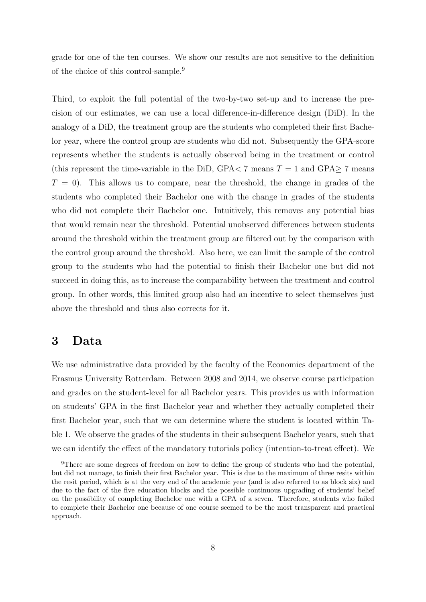grade for one of the ten courses. We show our results are not sensitive to the definition of the choice of this control-sample.[9](#page-7-1)

Third, to exploit the full potential of the two-by-two set-up and to increase the precision of our estimates, we can use a local difference-in-difference design (DiD). In the analogy of a DiD, the treatment group are the students who completed their first Bachelor year, where the control group are students who did not. Subsequently the GPA-score represents whether the students is actually observed being in the treatment or control (this represent the time-variable in the DiD, GPA $<$  7 means T = 1 and GPA $>$  7 means  $T = 0$ . This allows us to compare, near the threshold, the change in grades of the students who completed their Bachelor one with the change in grades of the students who did not complete their Bachelor one. Intuitively, this removes any potential bias that would remain near the threshold. Potential unobserved differences between students around the threshold within the treatment group are filtered out by the comparison with the control group around the threshold. Also here, we can limit the sample of the control group to the students who had the potential to finish their Bachelor one but did not succeed in doing this, as to increase the comparability between the treatment and control group. In other words, this limited group also had an incentive to select themselves just above the threshold and thus also corrects for it.

#### <span id="page-7-0"></span>3 Data

We use administrative data provided by the faculty of the Economics department of the Erasmus University Rotterdam. Between 2008 and 2014, we observe course participation and grades on the student-level for all Bachelor years. This provides us with information on students' GPA in the first Bachelor year and whether they actually completed their first Bachelor year, such that we can determine where the student is located within Table [1.](#page-5-0) We observe the grades of the students in their subsequent Bachelor years, such that we can identify the effect of the mandatory tutorials policy (intention-to-treat effect). We

<span id="page-7-1"></span><sup>9</sup>There are some degrees of freedom on how to define the group of students who had the potential, but did not manage, to finish their first Bachelor year. This is due to the maximum of three resits within the resit period, which is at the very end of the academic year (and is also referred to as block six) and due to the fact of the five education blocks and the possible continuous upgrading of students' belief on the possibility of completing Bachelor one with a GPA of a seven. Therefore, students who failed to complete their Bachelor one because of one course seemed to be the most transparent and practical approach.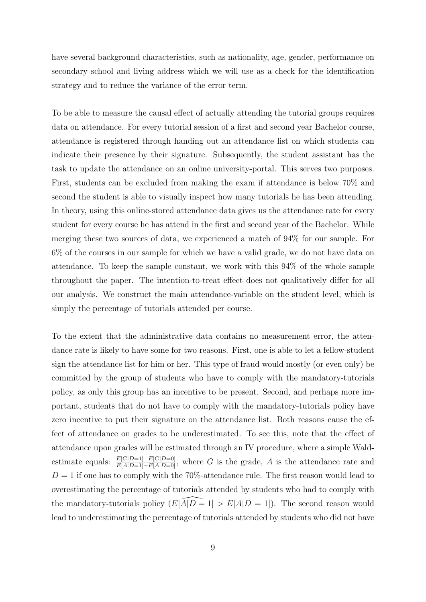have several background characteristics, such as nationality, age, gender, performance on secondary school and living address which we will use as a check for the identification strategy and to reduce the variance of the error term.

To be able to measure the causal effect of actually attending the tutorial groups requires data on attendance. For every tutorial session of a first and second year Bachelor course, attendance is registered through handing out an attendance list on which students can indicate their presence by their signature. Subsequently, the student assistant has the task to update the attendance on an online university-portal. This serves two purposes. First, students can be excluded from making the exam if attendance is below 70% and second the student is able to visually inspect how many tutorials he has been attending. In theory, using this online-stored attendance data gives us the attendance rate for every student for every course he has attend in the first and second year of the Bachelor. While merging these two sources of data, we experienced a match of 94% for our sample. For 6% of the courses in our sample for which we have a valid grade, we do not have data on attendance. To keep the sample constant, we work with this 94% of the whole sample throughout the paper. The intention-to-treat effect does not qualitatively differ for all our analysis. We construct the main attendance-variable on the student level, which is simply the percentage of tutorials attended per course.

To the extent that the administrative data contains no measurement error, the attendance rate is likely to have some for two reasons. First, one is able to let a fellow-student sign the attendance list for him or her. This type of fraud would mostly (or even only) be committed by the group of students who have to comply with the mandatory-tutorials policy, as only this group has an incentive to be present. Second, and perhaps more important, students that do not have to comply with the mandatory-tutorials policy have zero incentive to put their signature on the attendance list. Both reasons cause the effect of attendance on grades to be underestimated. To see this, note that the effect of attendance upon grades will be estimated through an IV procedure, where a simple Waldestimate equals:  $\frac{E[G|D=1]-E[G|D=0]}{E[A|D=1]-E[A|D=0]}$ , where G is the grade, A is the attendance rate and  $D = 1$  if one has to comply with the 70%-attendance rule. The first reason would lead to overestimating the percentage of tutorials attended by students who had to comply with the mandatory-tutorials policy  $(E[\widehat{A}|D=1] > E[A|D=1])$ . The second reason would lead to underestimating the percentage of tutorials attended by students who did not have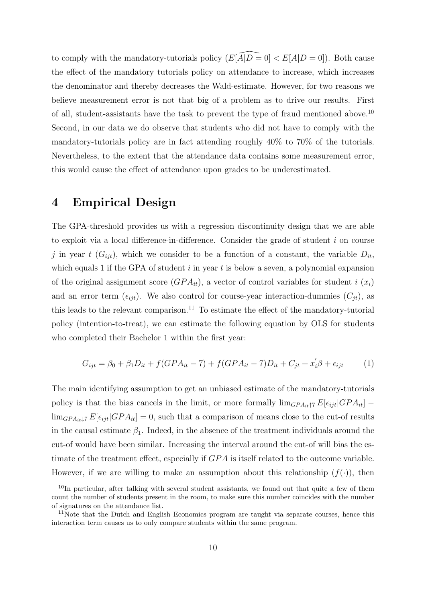to comply with the mandatory-tutorials policy  $(E[\widehat{A}|D = 0] < E[A|D = 0])$ . Both cause the effect of the mandatory tutorials policy on attendance to increase, which increases the denominator and thereby decreases the Wald-estimate. However, for two reasons we believe measurement error is not that big of a problem as to drive our results. First of all, student-assistants have the task to prevent the type of fraud mentioned above.[10](#page-9-1) Second, in our data we do observe that students who did not have to comply with the mandatory-tutorials policy are in fact attending roughly 40% to 70% of the tutorials. Nevertheless, to the extent that the attendance data contains some measurement error, this would cause the effect of attendance upon grades to be underestimated.

#### <span id="page-9-0"></span>4 Empirical Design

The GPA-threshold provides us with a regression discontinuity design that we are able to exploit via a local difference-in-difference. Consider the grade of student i on course j in year t  $(G_{ijt})$ , which we consider to be a function of a constant, the variable  $D_{it}$ , which equals 1 if the GPA of student  $i$  in year  $t$  is below a seven, a polynomial expansion of the original assignment score  $(GPA_{it})$ , a vector of control variables for student i  $(x_i)$ and an error term  $(\epsilon_{ijt})$ . We also control for course-year interaction-dummies  $(C_{jt})$ , as this leads to the relevant comparison.<sup>[11](#page-9-2)</sup> To estimate the effect of the mandatory-tutorial policy (intention-to-treat), we can estimate the following equation by OLS for students who completed their Bachelor 1 within the first year:

<span id="page-9-3"></span>
$$
G_{ijt} = \beta_0 + \beta_1 D_{it} + f(GPA_{it} - 7) + f(GPA_{it} - 7)D_{it} + C_{jt} + x_i' \beta + \epsilon_{ijt}
$$
 (1)

The main identifying assumption to get an unbiased estimate of the mandatory-tutorials policy is that the bias cancels in the limit, or more formally  $\lim_{GPA_{it}\uparrow\tau}E[\epsilon_{ijt}|GPA_{it}]$  –  $\lim_{GPA_{it}\downarrow 7} E[\epsilon_{ijt}|GPA_{it}] = 0$ , such that a comparison of means close to the cut-of results in the causal estimate  $\beta_1$ . Indeed, in the absence of the treatment individuals around the cut-of would have been similar. Increasing the interval around the cut-of will bias the estimate of the treatment effect, especially if  $GPA$  is itself related to the outcome variable. However, if we are willing to make an assumption about this relationship  $(f(.))$ , then

<span id="page-9-1"></span> $10$ In particular, after talking with several student assistants, we found out that quite a few of them count the number of students present in the room, to make sure this number coincides with the number of signatures on the attendance list.

<span id="page-9-2"></span><sup>&</sup>lt;sup>11</sup>Note that the Dutch and English Economics program are taught via separate courses, hence this interaction term causes us to only compare students within the same program.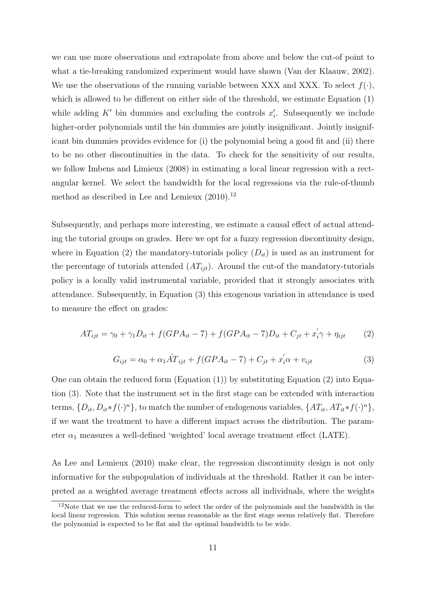we can use more observations and extrapolate from above and below the cut-of point to what a tie-breaking randomized experiment would have shown (Van der Klaauw, 2002). We use the observations of the running variable between XXX and XXX. To select  $f(\cdot)$ , which is allowed to be different on either side of the threshold, we estimate Equation [\(1\)](#page-9-3) while adding  $K'$  bin dummies and excluding the controls  $x'_i$ . Subsequently we include higher-order polynomials until the bin dummies are jointly insignificant. Jointly insignifiicant bin dummies provides evidence for (i) the polynomial being a good fit and (ii) there to be no other discontinuities in the data. To check for the sensitivity of our results, we follow Imbens and Limieux (2008) in estimating a local linear regression with a rectangular kernel. We select the bandwidth for the local regressions via the rule-of-thumb method as described in Lee and Lemieux  $(2010).<sup>12</sup>$  $(2010).<sup>12</sup>$  $(2010).<sup>12</sup>$ 

Subsequently, and perhaps more interesting, we estimate a causal effect of actual attending the tutorial groups on grades. Here we opt for a fuzzy regression discontinuity design, where in Equation [\(2\)](#page-10-1) the mandatory-tutorials policy  $(D_{it})$  is used as an instrument for the percentage of tutorials attended  $(AT_{ijt})$ . Around the cut-of the mandatory-tutorials policy is a locally valid instrumental variable, provided that it strongly associates with attendance. Subsequently, in Equation [\(3\)](#page-10-2) this exogenous variation in attendance is used to measure the effect on grades:

<span id="page-10-1"></span>
$$
AT_{ijt} = \gamma_0 + \gamma_1 D_{it} + f(GPA_{it} - 7) + f(GPA_{it} - 7)D_{it} + C_{jt} + x_i' \gamma + \eta_{ijt}
$$
 (2)

<span id="page-10-2"></span>
$$
G_{ijt} = \alpha_0 + \alpha_1 \hat{AT}_{ijt} + f(GPA_{it} - 7) + C_{jt} + x_i' \alpha + v_{ijt}
$$
\n
$$
\tag{3}
$$

One can obtain the reduced form  $(Equation (1))$  $(Equation (1))$  $(Equation (1))$  by substituting Equation [\(2\)](#page-10-1) into Equation [\(3\)](#page-10-2). Note that the instrument set in the first stage can be extended with interaction terms,  $\{D_{it}, D_{it}*f(\cdot)^n\}$ , to match the number of endogenous variables,  $\{AT_{it}, AT_{it}*f(\cdot)^n\}$ , if we want the treatment to have a different impact across the distribution. The parameter  $\alpha_1$  measures a well-defined 'weighted' local average treatment effect (LATE).

As Lee and Lemieux (2010) make clear, the regression discontinuity design is not only informative for the subpopulation of individuals at the threshold. Rather it can be interpreted as a weighted average treatment effects across all individuals, where the weights

<span id="page-10-0"></span><sup>&</sup>lt;sup>12</sup>Note that we use the reduced-form to select the order of the polynomials and the bandwidth in the local linear regression. This solution seems reasonable as the first stage seems relatively flat. Therefore the polynomial is expected to be flat and the optimal bandwidth to be wide.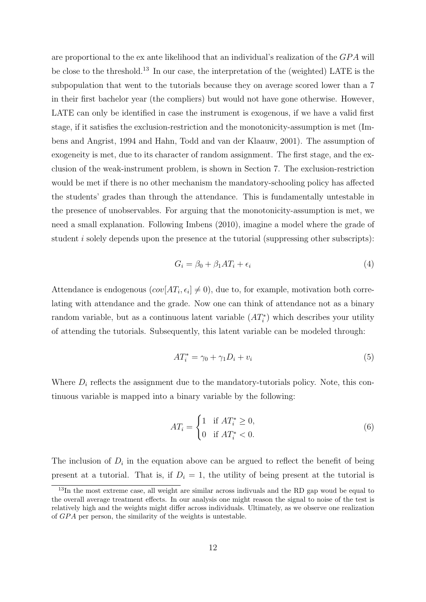are proportional to the ex ante likelihood that an individual's realization of the  $GPA$  will be close to the threshold.[13](#page-11-0) In our case, the interpretation of the (weighted) LATE is the subpopulation that went to the tutorials because they on average scored lower than a 7 in their first bachelor year (the compliers) but would not have gone otherwise. However, LATE can only be identified in case the instrument is exogenous, if we have a valid first stage, if it satisfies the exclusion-restriction and the monotonicity-assumption is met (Imbens and Angrist, 1994 and Hahn, Todd and van der Klaauw, 2001). The assumption of exogeneity is met, due to its character of random assignment. The first stage, and the exclusion of the weak-instrument problem, is shown in Section [7.](#page-17-0) The exclusion-restriction would be met if there is no other mechanism the mandatory-schooling policy has affected the students' grades than through the attendance. This is fundamentally untestable in the presence of unobservables. For arguing that the monotonicity-assumption is met, we need a small explanation. Following Imbens (2010), imagine a model where the grade of student *i* solely depends upon the presence at the tutorial (suppressing other subscripts):

$$
G_i = \beta_0 + \beta_1 A T_i + \epsilon_i \tag{4}
$$

Attendance is endogenous  $(cov[AT_i, \epsilon_i] \neq 0)$ , due to, for example, motivation both correlating with attendance and the grade. Now one can think of attendance not as a binary random variable, but as a continuous latent variable  $(AT_i^*)$  which describes your utility of attending the tutorials. Subsequently, this latent variable can be modeled through:

$$
AT_i^* = \gamma_0 + \gamma_1 D_i + v_i \tag{5}
$$

Where  $D_i$  reflects the assignment due to the mandatory-tutorials policy. Note, this continuous variable is mapped into a binary variable by the following:

<span id="page-11-1"></span>
$$
AT_i = \begin{cases} 1 & \text{if } AT_i^* \ge 0, \\ 0 & \text{if } AT_i^* < 0. \end{cases} \tag{6}
$$

The inclusion of  $D_i$  in the equation above can be argued to reflect the benefit of being present at a tutorial. That is, if  $D_i = 1$ , the utility of being present at the tutorial is

<span id="page-11-0"></span><sup>&</sup>lt;sup>13</sup>In the most extreme case, all weight are similar across indivuals and the RD gap woud be equal to the overall average treatment effects. In our analysis one might reason the signal to noise of the test is relatively high and the weights might differ across individuals. Ultimately, as we observe one realization of GPA per person, the similarity of the weights is untestable.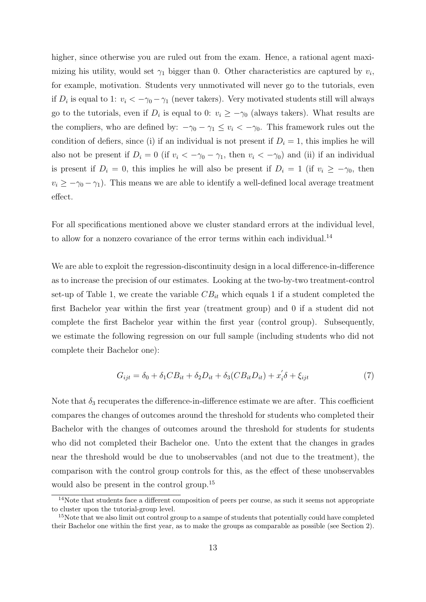higher, since otherwise you are ruled out from the exam. Hence, a rational agent maximizing his utility, would set  $\gamma_1$  bigger than 0. Other characteristics are captured by  $v_i$ , for example, motivation. Students very unmotivated will never go to the tutorials, even if  $D_i$  is equal to 1:  $v_i < -\gamma_0 - \gamma_1$  (never takers). Very motivated students still will always go to the tutorials, even if  $D_i$  is equal to 0:  $v_i \geq -\gamma_0$  (always takers). What results are the compliers, who are defined by:  $-\gamma_0 - \gamma_1 \le v_i < -\gamma_0$ . This framework rules out the condition of defiers, since (i) if an individual is not present if  $D<sub>i</sub> = 1$ , this implies he will also not be present if  $D_i = 0$  (if  $v_i < -\gamma_0 - \gamma_1$ , then  $v_i < -\gamma_0$ ) and (ii) if an individual is present if  $D_i = 0$ , this implies he will also be present if  $D_i = 1$  (if  $v_i \ge -\gamma_0$ , then  $v_i \geq -\gamma_0 - \gamma_1$ ). This means we are able to identify a well-defined local average treatment effect.

For all specifications mentioned above we cluster standard errors at the individual level, to allow for a nonzero covariance of the error terms within each individual.<sup>[14](#page-12-0)</sup>

We are able to exploit the regression-discontinuity design in a local difference-in-difference as to increase the precision of our estimates. Looking at the two-by-two treatment-control set-up of Table [1,](#page-5-0) we create the variable  $CB_{it}$  which equals 1 if a student completed the first Bachelor year within the first year (treatment group) and 0 if a student did not complete the first Bachelor year within the first year (control group). Subsequently, we estimate the following regression on our full sample (including students who did not complete their Bachelor one):

<span id="page-12-2"></span>
$$
G_{ijt} = \delta_0 + \delta_1 CB_{it} + \delta_2 D_{it} + \delta_3 (CB_{it} D_{it}) + x_i' \delta + \xi_{ijt}
$$
\n<sup>(7)</sup>

Note that  $\delta_3$  recuperates the difference-in-difference estimate we are after. This coefficient compares the changes of outcomes around the threshold for students who completed their Bachelor with the changes of outcomes around the threshold for students for students who did not completed their Bachelor one. Unto the extent that the changes in grades near the threshold would be due to unobservables (and not due to the treatment), the comparison with the control group controls for this, as the effect of these unobservables would also be present in the control group.<sup>[15](#page-12-1)</sup>

<span id="page-12-0"></span><sup>&</sup>lt;sup>14</sup>Note that students face a different composition of peers per course, as such it seems not appropriate to cluster upon the tutorial-group level.

<span id="page-12-1"></span><sup>&</sup>lt;sup>15</sup>Note that we also limit out control group to a sampe of students that potentially could have completed their Bachelor one within the first year, as to make the groups as comparable as possible (see Section [2\)](#page-3-0).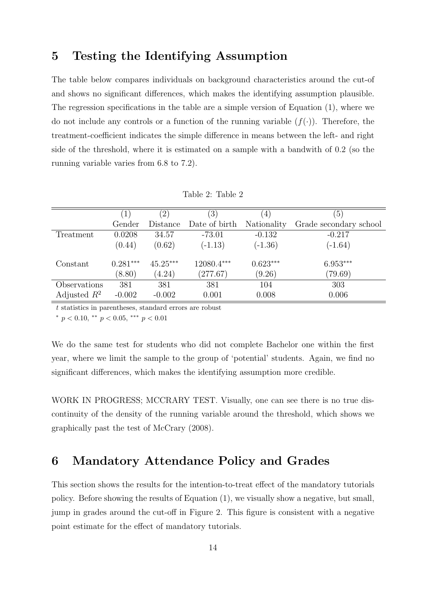### <span id="page-13-0"></span>5 Testing the Identifying Assumption

The table below compares individuals on background characteristics around the cut-of and shows no significant differences, which makes the identifying assumption plausible. The regression specifications in the table are a simple version of Equation [\(1\)](#page-9-3), where we do not include any controls or a function of the running variable  $(f(\cdot))$ . Therefore, the treatment-coefficient indicates the simple difference in means between the left- and right side of the threshold, where it is estimated on a sample with a bandwith of 0.2 (so the running variable varies from 6.8 to 7.2).

|                |            | $^{\prime}2)$ | $\left(3\right)$ | 4)          | $\left(5\right)$       |
|----------------|------------|---------------|------------------|-------------|------------------------|
|                | Gender     | Distance      | Date of birth    | Nationality | Grade secondary school |
| Treatment      | 0.0208     | 34.57         | $-73.01$         | $-0.132$    | $-0.217$               |
|                | (0.44)     | (0.62)        | $(-1.13)$        | $(-1.36)$   | $(-1.64)$              |
| Constant       | $0.281***$ | $45.25***$    | 12080.4***       | $0.623***$  | $6.953***$             |
|                | (8.80)     | (4.24)        | (277.67)         | (9.26)      | (79.69)                |
| Observations   | 381        | 381           | 381              | 104         | 303                    |
| Adjusted $R^2$ | $-0.002$   | $-0.002$      | 0.001            | 0.008       | 0.006                  |

Table 2: Table 2

t statistics in parentheses, standard errors are robust

<sup>∗</sup> p < 0.10, ∗∗ p < 0.05, ∗∗∗ p < 0.01

We do the same test for students who did not complete Bachelor one within the first year, where we limit the sample to the group of 'potential' students. Again, we find no significant differences, which makes the identifying assumption more credible.

WORK IN PROGRESS; MCCRARY TEST. Visually, one can see there is no true discontinuity of the density of the running variable around the threshold, which shows we graphically past the test of McCrary (2008).

# <span id="page-13-1"></span>6 Mandatory Attendance Policy and Grades

This section shows the results for the intention-to-treat effect of the mandatory tutorials policy. Before showing the results of Equation [\(1\)](#page-9-3), we visually show a negative, but small, jump in grades around the cut-off in Figure 2. This figure is consistent with a negative point estimate for the effect of mandatory tutorials.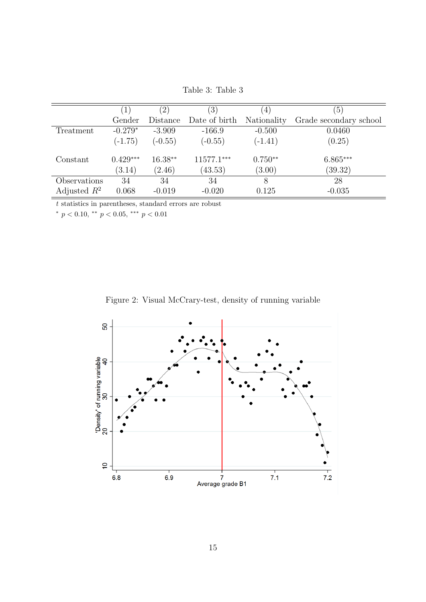| Table 3: Table 3 |  |
|------------------|--|
|                  |  |

|                |            | $^{\prime}2)$ | $\left(3\right)$ | 4)          | (5)                    |
|----------------|------------|---------------|------------------|-------------|------------------------|
|                | Gender     | Distance      | Date of birth    | Nationality | Grade secondary school |
| Treatment      | $-0.279*$  | $-3.909$      | $-166.9$         | $-0.500$    | 0.0460                 |
|                | $(-1.75)$  | $(-0.55)$     | $(-0.55)$        | $(-1.41)$   | (0.25)                 |
| Constant       | $0.429***$ | $16.38**$     | 11577.1***       | $0.750**$   | $6.865***$             |
|                | (3.14)     | (2.46)        | (43.53)          | (3.00)      | (39.32)                |
| Observations   | 34         | 34            | 34               | 8           | 28                     |
| Adjusted $R^2$ | 0.068      | $-0.019$      | $-0.020$         | 0.125       | $-0.035$               |

 $t$  statistics in parentheses, standard errors are robust

\*  $p < 0.10$ , \*\*  $p < 0.05$ , \*\*\*  $p < 0.01$ 

Figure 2: Visual McCrary-test, density of running variable

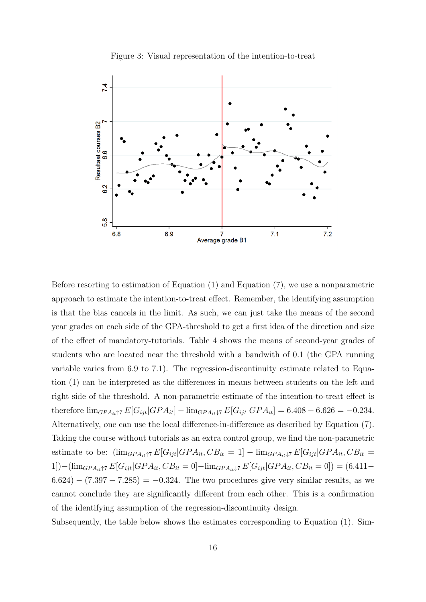

Figure 3: Visual representation of the intention-to-treat

Before resorting to estimation of Equation [\(1\)](#page-9-3) and Equation [\(7\)](#page-12-2), we use a nonparametric approach to estimate the intention-to-treat effect. Remember, the identifying assumption is that the bias cancels in the limit. As such, we can just take the means of the second year grades on each side of the GPA-threshold to get a first idea of the direction and size of the effect of mandatory-tutorials. Table [4](#page-16-0) shows the means of second-year grades of students who are located near the threshold with a bandwith of 0.1 (the GPA running variable varies from 6.9 to 7.1). The regression-discontinuity estimate related to Equation [\(1\)](#page-9-3) can be interpreted as the differences in means between students on the left and right side of the threshold. A non-parametric estimate of the intention-to-treat effect is therefore  $\lim_{GPA_{it} \uparrow 7} E[G_{ijt}|GPA_{it}] - \lim_{GPA_{it} \downarrow 7} E[G_{ijt}|GPA_{it}] = 6.408 - 6.626 = -0.234.$ Alternatively, one can use the local difference-in-difference as described by Equation [\(7\)](#page-12-2). Taking the course without tutorials as an extra control group, we find the non-parametric estimate to be:  $(\lim_{GPA_{it} \uparrow 7} E[G_{ijt} | GPA_{it}, CB_{it} = 1] - \lim_{GPA_{it} \downarrow 7} E[G_{ijt} | GPA_{it}, CB_{it} =$ 1])−(lim<sub>GPA<sub>it</sub>†7</sub>  $E[G_{ijt}|GPA_{it}, CB_{it} = 0]$ −lim<sub>GPA<sub>it</sub>↓7  $E[G_{ijt}|GPA_{it}, CB_{it} = 0]$ ) = (6.411−</sub>  $(6.624) - (7.397 - 7.285) = -0.324$ . The two procedures give very similar results, as we cannot conclude they are significantly different from each other. This is a confirmation of the identifying assumption of the regression-discontinuity design.

Subsequently, the table below shows the estimates corresponding to Equation [\(1\)](#page-9-3). Sim-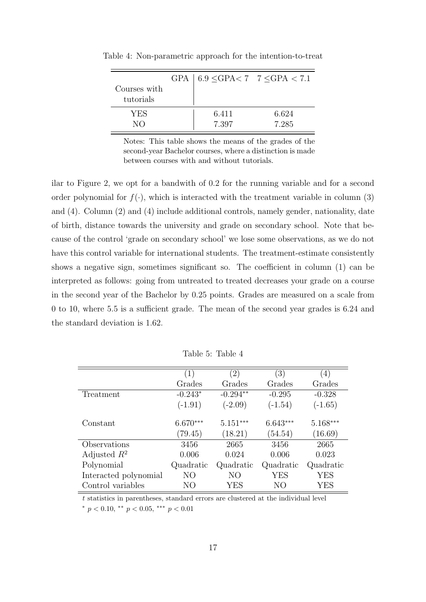| Courses with<br>tutorials | GPA $\vert$ 6.9 < GPA < 7 $\vert$ 7 < GPA < 7.1 |       |
|---------------------------|-------------------------------------------------|-------|
| YES                       | 6.411                                           | 6.624 |
| $N\Omega$                 | 7.397                                           | 7.285 |

<span id="page-16-0"></span>Table 4: Non-parametric approach for the intention-to-treat

Notes: This table shows the means of the grades of the second-year Bachelor courses, where a distinction is made between courses with and without tutorials.

ilar to Figure 2, we opt for a bandwith of 0.2 for the running variable and for a second order polynomial for  $f(\cdot)$ , which is interacted with the treatment variable in column (3) and (4). Column (2) and (4) include additional controls, namely gender, nationality, date of birth, distance towards the university and grade on secondary school. Note that because of the control 'grade on secondary school' we lose some observations, as we do not have this control variable for international students. The treatment-estimate consistently shows a negative sign, sometimes significant so. The coefficient in column (1) can be interpreted as follows: going from untreated to treated decreases your grade on a course in the second year of the Bachelor by 0.25 points. Grades are measured on a scale from 0 to 10, where 5.5 is a sufficient grade. The mean of the second year grades is 6.24 and the standard deviation is 1.62.

|                       | (1)        | (2)        | $\left( 3\right)$ | $\left(4\right)$ |
|-----------------------|------------|------------|-------------------|------------------|
|                       | Grades     | Grades     | Grades            | Grades           |
| Treatment             | $-0.243*$  | $-0.294**$ | $-0.295$          | $-0.328$         |
|                       | $(-1.91)$  | $(-2.09)$  | $(-1.54)$         | $(-1.65)$        |
|                       |            |            |                   |                  |
| Constant              | $6.670***$ | $5.151***$ | $6.643***$        | $5.168***$       |
|                       | (79.45)    | (18.21)    | (54.54)           | (16.69)          |
| Observations          | 3456       | 2665       | 3456              | 2665             |
| Adjusted $R^2$        | 0.006      | 0.024      | 0.006             | 0.023            |
| Polynomial            | Quadratic  | Quadratic  | Quadratic         | Quadratic        |
| Interacted polynomial | NO         | NΟ         | YES               | YES              |
| Control variables     | NО         | YES        | NО                | YES              |

Table 5: Table 4

t statistics in parentheses, standard errors are clustered at the individual level \*  $p < 0.10$ , \*\*  $p < 0.05$ , \*\*\*  $p < 0.01$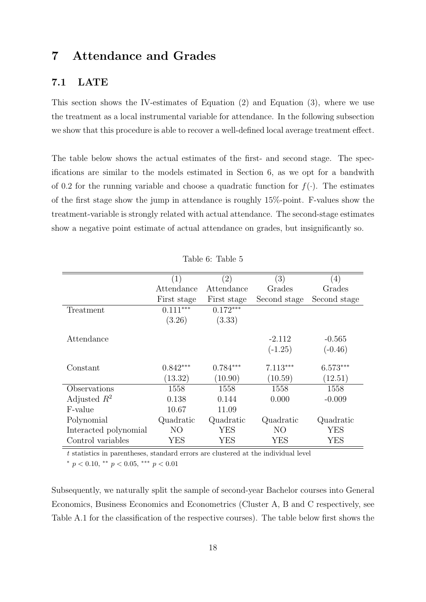#### <span id="page-17-0"></span>7 Attendance and Grades

#### 7.1 LATE

This section shows the IV-estimates of Equation [\(2\)](#page-10-1) and Equation [\(3\)](#page-10-2), where we use the treatment as a local instrumental variable for attendance. In the following subsection we show that this procedure is able to recover a well-defined local average treatment effect.

The table below shows the actual estimates of the first- and second stage. The specifications are similar to the models estimated in Section [6,](#page-13-1) as we opt for a bandwith of 0.2 for the running variable and choose a quadratic function for  $f(\cdot)$ . The estimates of the first stage show the jump in attendance is roughly 15%-point. F-values show the treatment-variable is strongly related with actual attendance. The second-stage estimates show a negative point estimate of actual attendance on grades, but insignificantly so.

|                       | (1)         | $\left( 2\right)$ | (3)            | (4)          |
|-----------------------|-------------|-------------------|----------------|--------------|
|                       | Attendance  | Attendance        | Grades         | Grades       |
|                       | First stage | First stage       | Second stage   | Second stage |
| Treatment             | $0.111***$  | $0.172***$        |                |              |
|                       | (3.26)      | (3.33)            |                |              |
|                       |             |                   |                |              |
| Attendance            |             |                   | $-2.112$       | $-0.565$     |
|                       |             |                   | $(-1.25)$      | $(-0.46)$    |
|                       |             |                   |                |              |
| Constant              | $0.842***$  | $0.784***$        | $7.113***$     | $6.573***$   |
|                       | (13.32)     | (10.90)           | (10.59)        | (12.51)      |
| Observations          | 1558        | 1558              | 1558           | 1558         |
| Adjusted $R^2$        | 0.138       | 0.144             | 0.000          | $-0.009$     |
| F-value               | 10.67       | 11.09             |                |              |
| Polynomial            | Quadratic   | Quadratic         | Quadratic      | Quadratic    |
| Interacted polynomial | NO          | YES               | N <sub>O</sub> | YES          |
| Control variables     | YES         | YES               | YES            | YES          |

Table 6: Table 5

t statistics in parentheses, standard errors are clustered at the individual level

 $*$  p < 0.10,  $*$  p < 0.05,  $*$   $*$  p < 0.01

Subsequently, we naturally split the sample of second-year Bachelor courses into General Economics, Business Economics and Econometrics (Cluster A, B and C respectively, see Table [A.1](#page-21-0) for the classification of the respective courses). The table below first shows the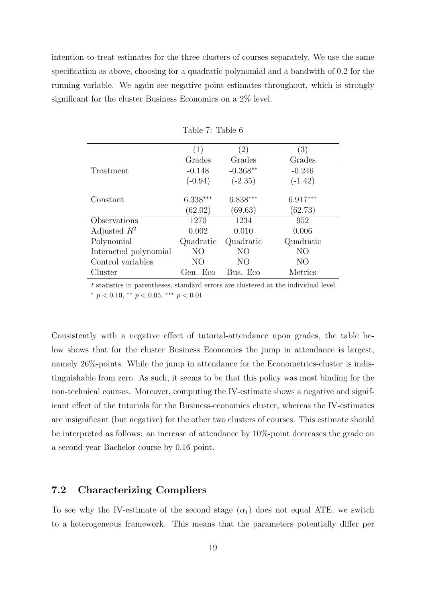intention-to-treat estimates for the three clusters of courses separately. We use the same specification as above, choosing for a quadratic polynomial and a bandwith of 0.2 for the running variable. We again see negative point estimates throughout, which is strongly significant for the cluster Business Economics on a 2% level.

|                       | $\left( 1\right)$ | $^{'}2)$   | (3)            |
|-----------------------|-------------------|------------|----------------|
|                       | Grades            | Grades     | Grades         |
| Treatment             | $-0.148$          | $-0.368**$ | $-0.246$       |
|                       | $(-0.94)$         | $(-2.35)$  | $(-1.42)$      |
| Constant              | $6.338***$        | $6.838***$ | $6.917***$     |
|                       | (62.02)           | (69.63)    | (62.73)        |
| Observations          | 1270              | 1234       | 952            |
| Adjusted $R^2$        | 0.002             | 0.010      | 0.006          |
| Polynomial            | Quadratic         | Quadratic  | Quadratic      |
| Interacted polynomial | NO                | NO         | N <sub>O</sub> |
| Control variables     | NO                | NO         | N <sub>O</sub> |
| Cluster               | Gen. Eco          | Bus. Eco   | Metrics        |

Table 7: Table 6

t statistics in parentheses, standard errors are clustered at the individual level \*  $p < 0.10$ , \*\*  $p < 0.05$ , \*\*\*  $p < 0.01$ 

Consistently with a negative effect of tutorial-attendance upon grades, the table below shows that for the cluster Business Economics the jump in attendance is largest, namely 26%-points. While the jump in attendance for the Econometrics-cluster is indistinguishable from zero. As such, it seems to be that this policy was most binding for the non-technical courses. Moreover, computing the IV-estimate shows a negative and significant effect of the tutorials for the Business-economics cluster, whereas the IV-estimates are insignificant (but negative) for the other two clusters of courses. This estimate should be interpreted as follows: an increase of attendance by 10%-point decreases the grade on a second-year Bachelor course by 0.16 point.

#### 7.2 Characterizing Compliers

To see why the IV-estimate of the second stage  $(\alpha_1)$  does not equal ATE, we switch to a heterogeneous framework. This means that the parameters potentially differ per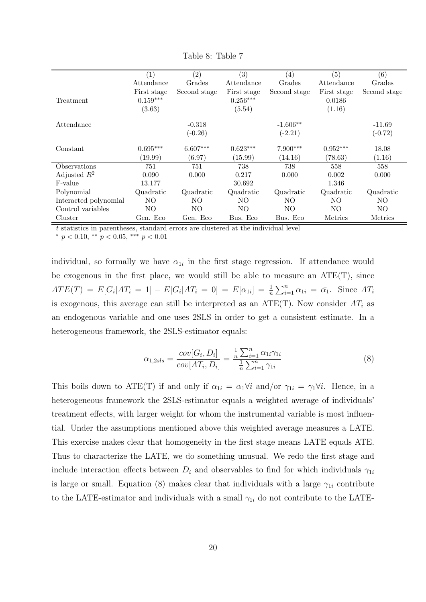|                       | (1)         | (2)          | (3)         | $\left( 4\right)$ | (5)         | (6)          |
|-----------------------|-------------|--------------|-------------|-------------------|-------------|--------------|
|                       | Attendance  | Grades       | Attendance  | Grades            | Attendance  | Grades       |
|                       | First stage | Second stage | First stage | Second stage      | First stage | Second stage |
| Treatment             | $0.159***$  |              | $0.256***$  |                   | 0.0186      |              |
|                       | (3.63)      |              | (5.54)      |                   | (1.16)      |              |
| Attendance            |             | $-0.318$     |             | $-1.606**$        |             | $-11.69$     |
|                       |             | $(-0.26)$    |             | $(-2.21)$         |             | $(-0.72)$    |
| Constant              | $0.695***$  | $6.607***$   | $0.623***$  | $7.900***$        | $0.952***$  | 18.08        |
|                       | (19.99)     | (6.97)       | (15.99)     | (14.16)           | (78.63)     | (1.16)       |
| Observations          | 751         | 751          | 738         | 738               | 558         | 558          |
| Adjusted $R^2$        | 0.090       | 0.000        | 0.217       | 0.000             | 0.002       | 0.000        |
| F-value               | 13.177      |              | 30.692      |                   | 1.346       |              |
| Polynomial            | Quadratic   | Quadratic    | Quadratic   | Quadratic         | Quadratic   | Quadratic    |
| Interacted polynomial | NO          | NΟ           | NO          | NO.               | NO          | NO.          |
| Control variables     | NO.         | NO           | NO          | NO.               | NO          | NO.          |
| Cluster               | Gen. Eco    | Gen. Eco     | Bus. Eco    | Bus. Eco          | Metrics     | Metrics      |

Table 8: Table 7

t statistics in parentheses, standard errors are clustered at the individual level

\*  $p < 0.10$ , \*\*  $p < 0.05$ , \*\*\*  $p < 0.01$ 

individual, so formally we have  $\alpha_{1i}$  in the first stage regression. If attendance would be exogenous in the first place, we would still be able to measure an  $ATE(T)$ , since  $ATE(T) = E[G_i|AT_i = 1] - E[G_i|AT_i = 0] = E[\alpha_{1i}] = \frac{1}{n} \sum_{i=1}^{n} \alpha_{1i} = \bar{\alpha_1}$ . Since  $AT_i$ is exogenous, this average can still be interpreted as an  $ATE(T)$ . Now consider  $AT_i$  as an endogenous variable and one uses 2SLS in order to get a consistent estimate. In a heterogeneous framework, the 2SLS-estimator equals:

<span id="page-19-0"></span>
$$
\alpha_{1,2sls} = \frac{cov[G_i, D_i]}{cov[AT_i, D_i]} = \frac{\frac{1}{n} \sum_{i=1}^{n} \alpha_{1i} \gamma_{1i}}{\frac{1}{n} \sum_{i=1}^{n} \gamma_{1i}}
$$
(8)

This boils down to ATE(T) if and only if  $\alpha_{1i} = \alpha_1 \forall i$  and/or  $\gamma_{1i} = \gamma_1 \forall i$ . Hence, in a heterogeneous framework the 2SLS-estimator equals a weighted average of individuals' treatment effects, with larger weight for whom the instrumental variable is most influential. Under the assumptions mentioned above this weighted average measures a LATE. This exercise makes clear that homogeneity in the first stage means LATE equals ATE. Thus to characterize the LATE, we do something unusual. We redo the first stage and include interaction effects between  $D_i$  and observables to find for which individuals  $\gamma_{1i}$ is large or small. Equation [\(8\)](#page-19-0) makes clear that individuals with a large  $\gamma_{1i}$  contribute to the LATE-estimator and individuals with a small  $\gamma_{1i}$  do not contribute to the LATE-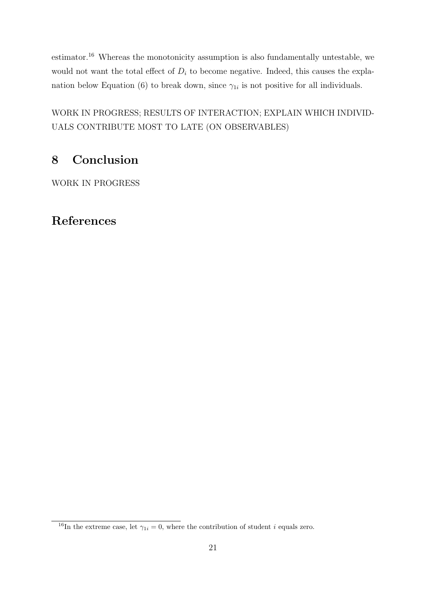estimator.[16](#page-20-1) Whereas the monotonicity assumption is also fundamentally untestable, we would not want the total effect of  $D_i$  to become negative. Indeed, this causes the expla-nation below Equation [\(6\)](#page-11-1) to break down, since  $\gamma_{1i}$  is not positive for all individuals.

WORK IN PROGRESS; RESULTS OF INTERACTION; EXPLAIN WHICH INDIVID-UALS CONTRIBUTE MOST TO LATE (ON OBSERVABLES)

# <span id="page-20-0"></span>8 Conclusion

WORK IN PROGRESS

# References

<span id="page-20-1"></span><sup>&</sup>lt;sup>16</sup>In the extreme case, let  $\gamma_{1i} = 0$ , where the contribution of student *i* equals zero.